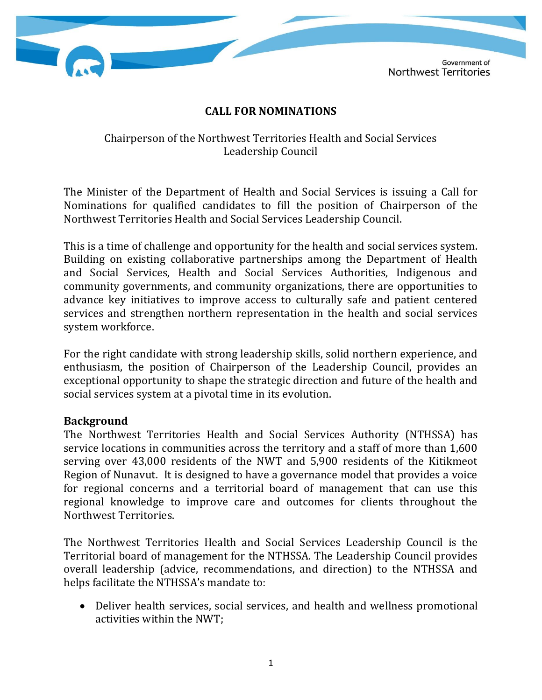

# **CALL FOR NOMINATIONS**

#### Chairperson of the Northwest Territories Health and Social Services Leadership Council

The Minister of the Department of Health and Social Services is issuing a Call for Nominations for qualified candidates to fill the position of Chairperson of the Northwest Territories Health and Social Services Leadership Council.

This is a time of challenge and opportunity for the health and social services system. Building on existing collaborative partnerships among the Department of Health and Social Services, Health and Social Services Authorities, Indigenous and community governments, and community organizations, there are opportunities to advance key initiatives to improve access to culturally safe and patient centered services and strengthen northern representation in the health and social services system workforce.

For the right candidate with strong leadership skills, solid northern experience, and enthusiasm, the position of Chairperson of the Leadership Council, provides an exceptional opportunity to shape the strategic direction and future of the health and social services system at a pivotal time in its evolution.

#### **Background**

The Northwest Territories Health and Social Services Authority (NTHSSA) has service locations in communities across the territory and a staff of more than 1,600 serving over 43,000 residents of the NWT and 5,900 residents of the Kitikmeot Region of Nunavut. It is designed to have a governance model that provides a voice for regional concerns and a territorial board of management that can use this regional knowledge to improve care and outcomes for clients throughout the Northwest Territories.

The Northwest Territories Health and Social Services Leadership Council is the Territorial board of management for the NTHSSA. The Leadership Council provides overall leadership (advice, recommendations, and direction) to the NTHSSA and helps facilitate the NTHSSA's mandate to:

• Deliver health services, social services, and health and wellness promotional activities within the NWT;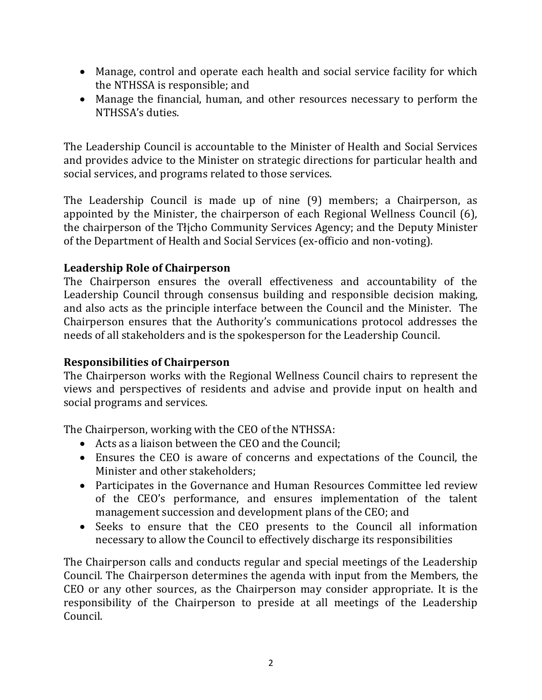- Manage, control and operate each health and social service facility for which the NTHSSA is responsible; and
- Manage the financial, human, and other resources necessary to perform the NTHSSA's duties.

The Leadership Council is accountable to the Minister of Health and Social Services and provides advice to the Minister on strategic directions for particular health and social services, and programs related to those services.

The Leadership Council is made up of nine (9) members; a Chairperson, as appointed by the Minister, the chairperson of each Regional Wellness Council (6), the chairperson of the Tłįcho Community Services Agency; and the Deputy Minister of the Department of Health and Social Services (ex-officio and non-voting).

# **Leadership Role of Chairperson**

The Chairperson ensures the overall effectiveness and accountability of the Leadership Council through consensus building and responsible decision making, and also acts as the principle interface between the Council and the Minister. The Chairperson ensures that the Authority's communications protocol addresses the needs of all stakeholders and is the spokesperson for the Leadership Council.

#### **Responsibilities of Chairperson**

The Chairperson works with the Regional Wellness Council chairs to represent the views and perspectives of residents and advise and provide input on health and social programs and services.

The Chairperson, working with the CEO of the NTHSSA:

- Acts as a liaison between the CEO and the Council;
- Ensures the CEO is aware of concerns and expectations of the Council, the Minister and other stakeholders;
- Participates in the Governance and Human Resources Committee led review of the CEO's performance, and ensures implementation of the talent management succession and development plans of the CEO; and
- Seeks to ensure that the CEO presents to the Council all information necessary to allow the Council to effectively discharge its responsibilities

The Chairperson calls and conducts regular and special meetings of the Leadership Council. The Chairperson determines the agenda with input from the Members, the CEO or any other sources, as the Chairperson may consider appropriate. It is the responsibility of the Chairperson to preside at all meetings of the Leadership Council.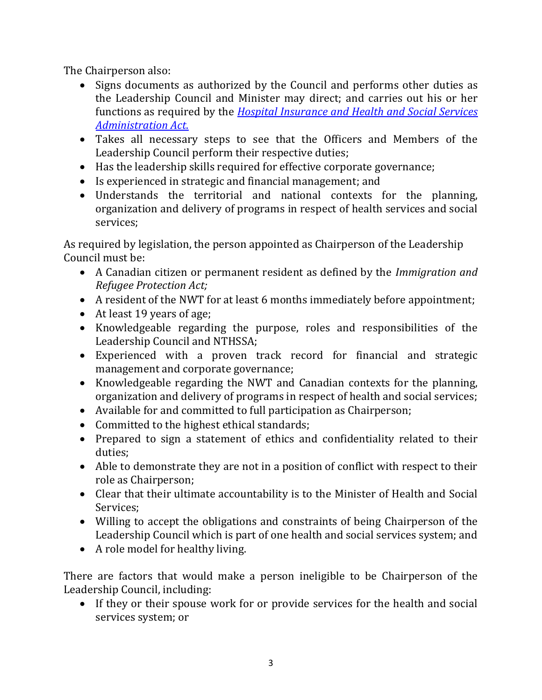The Chairperson also:

- Signs documents as authorized by the Council and performs other duties as the Leadership Council and Minister may direct; and carries out his or her functions as required by the *[Hospital Insurance and Health and Social Services](https://www.justice.gov.nt.ca/en/files/legislation/hospital-insurance-and-health-and-social-services-administration/hospital-insurance-and-health-and-social-services-administration.a.pdf)  [Administration Act](https://www.justice.gov.nt.ca/en/files/legislation/hospital-insurance-and-health-and-social-services-administration/hospital-insurance-and-health-and-social-services-administration.a.pdf)*.
- Takes all necessary steps to see that the Officers and Members of the Leadership Council perform their respective duties;
- Has the leadership skills required for effective corporate governance;
- Is experienced in strategic and financial management; and
- Understands the territorial and national contexts for the planning, organization and delivery of programs in respect of health services and social services;

As required by legislation, the person appointed as Chairperson of the Leadership Council must be:

- A Canadian citizen or permanent resident as defined by the *Immigration and Refugee Protection Act;*
- A resident of the NWT for at least 6 months immediately before appointment;
- At least 19 years of age;
- Knowledgeable regarding the purpose, roles and responsibilities of the Leadership Council and NTHSSA;
- Experienced with a proven track record for financial and strategic management and corporate governance;
- Knowledgeable regarding the NWT and Canadian contexts for the planning, organization and delivery of programs in respect of health and social services;
- Available for and committed to full participation as Chairperson;
- Committed to the highest ethical standards;
- Prepared to sign a statement of ethics and confidentiality related to their duties;
- Able to demonstrate they are not in a position of conflict with respect to their role as Chairperson;
- Clear that their ultimate accountability is to the Minister of Health and Social Services;
- Willing to accept the obligations and constraints of being Chairperson of the Leadership Council which is part of one health and social services system; and
- A role model for healthy living.

There are factors that would make a person ineligible to be Chairperson of the Leadership Council, including:

• If they or their spouse work for or provide services for the health and social services system; or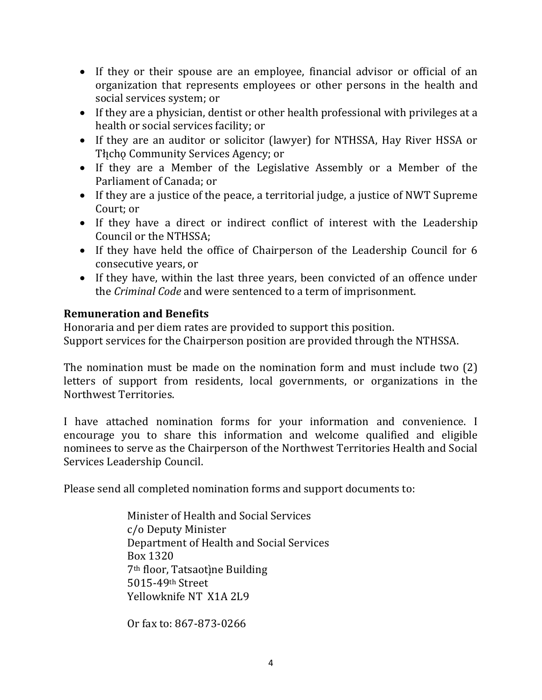- If they or their spouse are an employee, financial advisor or official of an organization that represents employees or other persons in the health and social services system; or
- If they are a physician, dentist or other health professional with privileges at a health or social services facility; or
- If they are an auditor or solicitor (lawyer) for NTHSSA, Hay River HSSA or Tłįcho Community Services Agency; or
- If they are a Member of the Legislative Assembly or a Member of the Parliament of Canada; or
- If they are a justice of the peace, a territorial judge, a justice of NWT Supreme Court; or
- If they have a direct or indirect conflict of interest with the Leadership Council or the NTHSSA;
- If they have held the office of Chairperson of the Leadership Council for 6 consecutive years, or
- If they have, within the last three years, been convicted of an offence under the *Criminal Code* and were sentenced to a term of imprisonment.

# **Remuneration and Benefits**

Honoraria and per diem rates are provided to support this position. Support services for the Chairperson position are provided through the NTHSSA.

The nomination must be made on the nomination form and must include two (2) letters of support from residents, local governments, or organizations in the Northwest Territories.

I have attached nomination forms for your information and convenience. I encourage you to share this information and welcome qualified and eligible nominees to serve as the Chairperson of the Northwest Territories Health and Social Services Leadership Council.

Please send all completed nomination forms and support documents to:

Minister of Health and Social Services c/o Deputy Minister Department of Health and Social Services Box 1320 7<sup>th</sup> floor, Tatsaotìne Building 5015-49th Street Yellowknife NT X1A 2L9

Or fax to: 867-873-0266